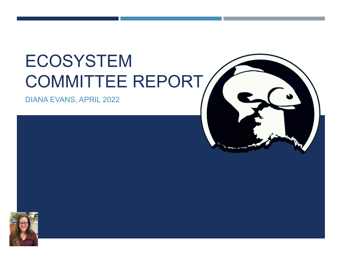# ECOSYSTEM COMMITTEE REPORT

DIANA EVANS, APRIL 2022



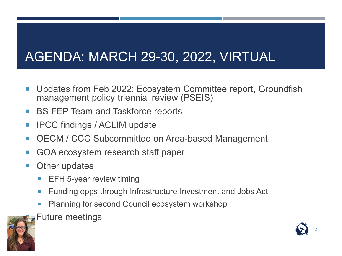### AGENDA: MARCH 29-30, 2022, VIRTUAL

- Updates from Feb 2022: Ecosystem Committee report, Groundfish management policy triennial review (PSEIS)
- BS FEP Team and Taskforce reports
- **IFCC findings / ACLIM update**
- OECM / CCC Subcommittee on Area-based Management
- GOA ecosystem research staff paper
- Other updates
	- **EFH 5-year review timing**
	- **Funding opps through Infrastructure Investment and Jobs Act**
	- Planning for second Council ecosystem workshop
	- Future meetings



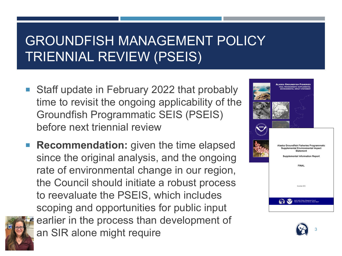#### GROUNDFISH MANAGEMENT POLICY TRIENNIAL REVIEW (PSEIS)

- Staff update in February 2022 that probably time to revisit the ongoing applicability of the Groundfish Programmatic SEIS (PSEIS) before next triennial review
- **Recommendation:** given the time elapsed since the original analysis, and the ongoing rate of environmental change in our region, the Council should initiate a robust process to reevaluate the PSEIS, which includes scoping and opportunities for public input earlier in the process than development of an SIR alone might require



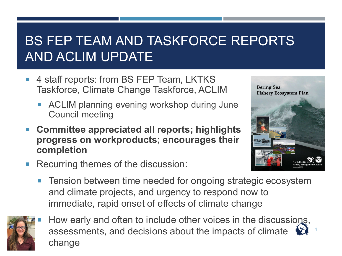#### BS FEP TEAM AND TASKFORCE REPORTS AND ACLIM UPDATE

- 4 staff reports: from BS FEP Team, LKTKS Taskforce, Climate Change Taskforce, ACLIM
	- ACLIM planning evening workshop during June Council meeting
- **Committee appreciated all reports; highlights progress on workproducts; encourages their completion**



4

- Recurring themes of the discussion:
	- **Tension between time needed for ongoing strategic ecosystem** and climate projects, and urgency to respond now to immediate, rapid onset of effects of climate change



How early and often to include other voices in the discussions, assessments, and decisions about the impacts of climate change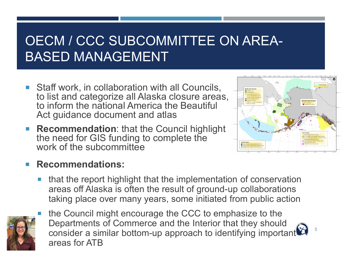#### OECM / CCC SUBCOMMITTEE ON AREA-BASED MANAGEMENT

- **Staff work, in collaboration with all Councils,** to list and categorize all Alaska closure areas, to inform the national America the Beautiful Act guidance document and atlas
- **Recommendation**: that the Council highlight the need for GIS funding to complete the work of the subcommittee



5

#### **Recommendations:**

 that the report highlight that the implementation of conservation areas off Alaska is often the result of ground-up collaborations taking place over many years, some initiated from public action



 the Council might encourage the CCC to emphasize to the Departments of Commerce and the Interior that they should consider a similar bottom-up approach to identifying important areas for ATB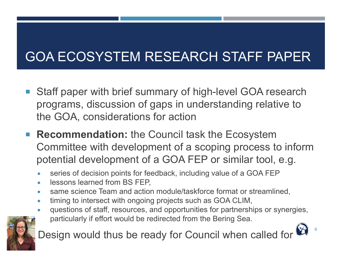# GOA ECOSYSTEM RESEARCH STAFF PAPER

- Staff paper with brief summary of high-level GOA research programs, discussion of gaps in understanding relative to the GOA, considerations for action
- **Recommendation:** the Council task the Ecosystem Committee with development of a scoping process to inform potential development of a GOA FEP or similar tool, e.g.
	- series of decision points for feedback, including value of a GOA FEP
	- lessons learned from BS FEP,
	- same science Team and action module/taskforce format or streamlined,
	- timing to intersect with ongoing projects such as GOA CLIM,
	- questions of staff, resources, and opportunities for partnerships or synergies,

6

particularly if effort would be redirected from the Bering Sea.



Design would thus be ready for Council when called for